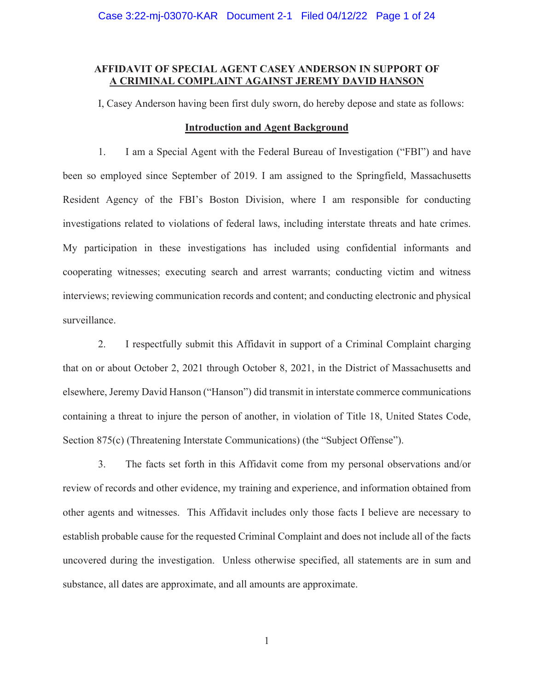# **AFFIDAVIT OF SPECIAL AGENT CASEY ANDERSON IN SUPPORT OF A CRIMINAL COMPLAINT AGAINST JEREMY DAVID HANSON**

I, Casey Anderson having been first duly sworn, do hereby depose and state as follows:

#### **Introduction and Agent Background**

1. I am a Special Agent with the Federal Bureau of Investigation ("FBI") and have been so employed since September of 2019. I am assigned to the Springfield, Massachusetts Resident Agency of the FBI's Boston Division, where I am responsible for conducting investigations related to violations of federal laws, including interstate threats and hate crimes. My participation in these investigations has included using confidential informants and cooperating witnesses; executing search and arrest warrants; conducting victim and witness interviews; reviewing communication records and content; and conducting electronic and physical surveillance.

2. I respectfully submit this Affidavit in support of a Criminal Complaint charging that on or about October 2, 2021 through October 8, 2021, in the District of Massachusetts and elsewhere, Jeremy David Hanson ("Hanson") did transmit in interstate commerce communications containing a threat to injure the person of another, in violation of Title 18, United States Code, Section 875(c) (Threatening Interstate Communications) (the "Subject Offense").

3. The facts set forth in this Affidavit come from my personal observations and/or review of records and other evidence, my training and experience, and information obtained from other agents and witnesses. This Affidavit includes only those facts I believe are necessary to establish probable cause for the requested Criminal Complaint and does not include all of the facts uncovered during the investigation. Unless otherwise specified, all statements are in sum and substance, all dates are approximate, and all amounts are approximate.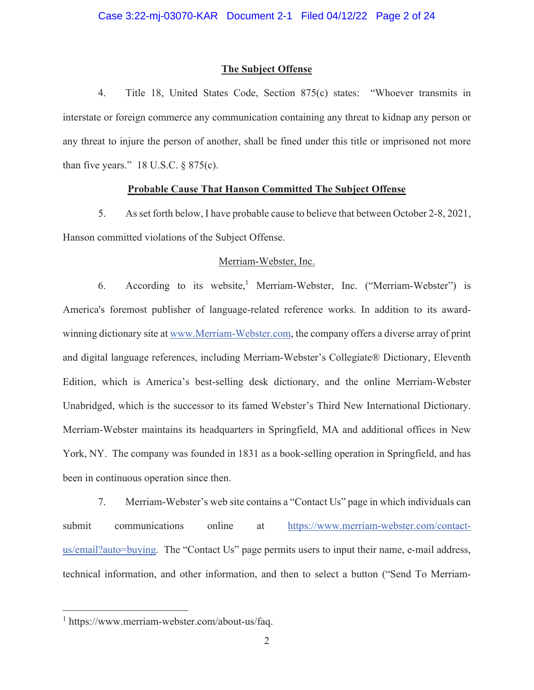# **The Subject Offense**

4. Title 18, United States Code, Section 875(c) states: "Whoever transmits in interstate or foreign commerce any communication containing any threat to kidnap any person or any threat to injure the person of another, shall be fined under this title or imprisoned not more than five years."  $18$  U.S.C.  $\S$  875(c).

# **Probable Cause That Hanson Committed The Subject Offense**

5. As set forth below, I have probable cause to believe that between October 2-8, 2021, Hanson committed violations of the Subject Offense.

#### Merriam-Webster, Inc.

6. According to its website,<sup>1</sup> Merriam-Webster, Inc. ("Merriam-Webster") is America's foremost publisher of language-related reference works. In addition to its awardwinning dictionary site at www.Merriam-Webster.com, the company offers a diverse array of print and digital language references, including Merriam-Webster's Collegiate® Dictionary, Eleventh Edition, which is America's best-selling desk dictionary, and the online Merriam-Webster Unabridged, which is the successor to its famed Webster's Third New International Dictionary. Merriam-Webster maintains its headquarters in Springfield, MA and additional offices in New York, NY. The company was founded in 1831 as a book-selling operation in Springfield, and has been in continuous operation since then.

7. Merriam-Webster's web site contains a "Contact Us" page in which individuals can submit communications online at https://www.merriam-webster.com/contactus/email?auto=buying. The "Contact Us" page permits users to input their name, e-mail address, technical information, and other information, and then to select a button ("Send To Merriam-

<sup>1</sup> https://www.merriam-webster.com/about-us/faq.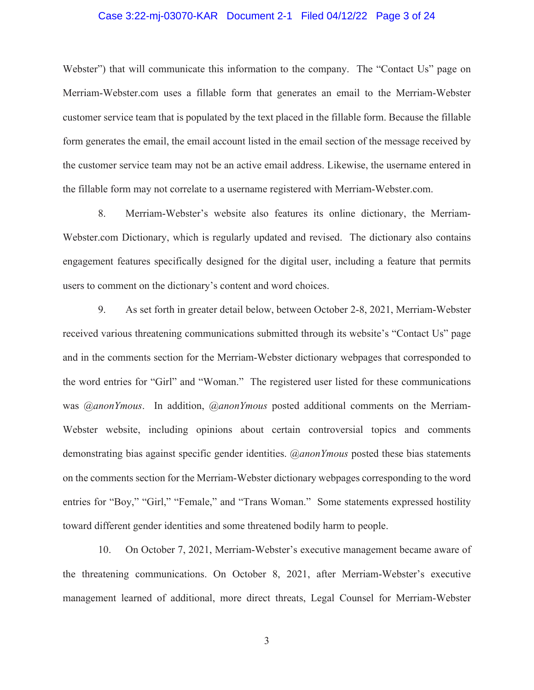# Case 3:22-mj-03070-KAR Document 2-1 Filed 04/12/22 Page 3 of 24

Webster") that will communicate this information to the company. The "Contact Us" page on Merriam-Webster.com uses a fillable form that generates an email to the Merriam-Webster customer service team that is populated by the text placed in the fillable form. Because the fillable form generates the email, the email account listed in the email section of the message received by the customer service team may not be an active email address. Likewise, the username entered in the fillable form may not correlate to a username registered with Merriam-Webster.com.

8. Merriam-Webster's website also features its online dictionary, the Merriam-Webster.com Dictionary, which is regularly updated and revised. The dictionary also contains engagement features specifically designed for the digital user, including a feature that permits users to comment on the dictionary's content and word choices.

9. As set forth in greater detail below, between October 2-8, 2021, Merriam-Webster received various threatening communications submitted through its website's "Contact Us" page and in the comments section for the Merriam-Webster dictionary webpages that corresponded to the word entries for "Girl" and "Woman." The registered user listed for these communications was *@anonYmous*. In addition, *@anonYmous* posted additional comments on the Merriam-Webster website, including opinions about certain controversial topics and comments demonstrating bias against specific gender identities. *@anonYmous* posted these bias statements on the comments section for the Merriam-Webster dictionary webpages corresponding to the word entries for "Boy," "Girl," "Female," and "Trans Woman." Some statements expressed hostility toward different gender identities and some threatened bodily harm to people.

10. On October 7, 2021, Merriam-Webster's executive management became aware of the threatening communications. On October 8, 2021, after Merriam-Webster's executive management learned of additional, more direct threats, Legal Counsel for Merriam-Webster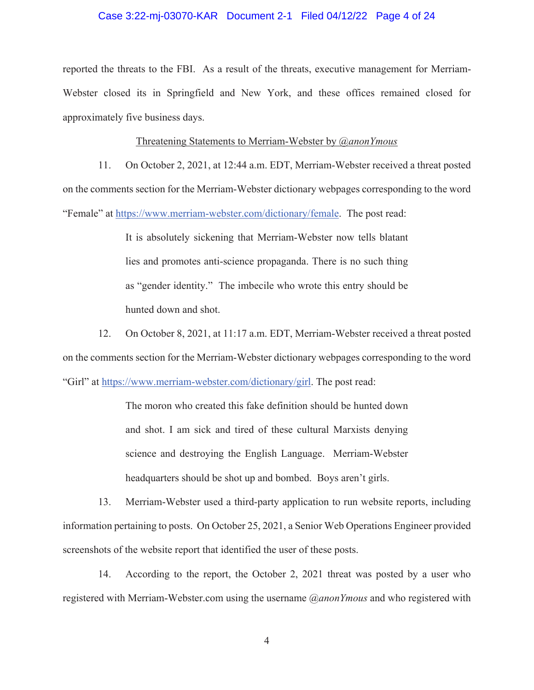# Case 3:22-mj-03070-KAR Document 2-1 Filed 04/12/22 Page 4 of 24

reported the threats to the FBI. As a result of the threats, executive management for Merriam-Webster closed its in Springfield and New York, and these offices remained closed for approximately five business days.

#### Threatening Statements to Merriam-Webster by *@anonYmous*

11. On October 2, 2021, at 12:44 a.m. EDT, Merriam-Webster received a threat posted on the comments section for the Merriam-Webster dictionary webpages corresponding to the word "Female" at https://www.merriam-webster.com/dictionary/female. The post read:

> It is absolutely sickening that Merriam-Webster now tells blatant lies and promotes anti-science propaganda. There is no such thing as "gender identity." The imbecile who wrote this entry should be hunted down and shot.

12. On October 8, 2021, at 11:17 a.m. EDT, Merriam-Webster received a threat posted on the comments section for the Merriam-Webster dictionary webpages corresponding to the word "Girl" at https://www.merriam-webster.com/dictionary/girl. The post read:

> The moron who created this fake definition should be hunted down and shot. I am sick and tired of these cultural Marxists denying science and destroying the English Language. Merriam-Webster headquarters should be shot up and bombed. Boys aren't girls.

13. Merriam-Webster used a third-party application to run website reports, including information pertaining to posts. On October 25, 2021, a Senior Web Operations Engineer provided screenshots of the website report that identified the user of these posts.

14. According to the report, the October 2, 2021 threat was posted by a user who registered with Merriam-Webster.com using the username *@anonYmous* and who registered with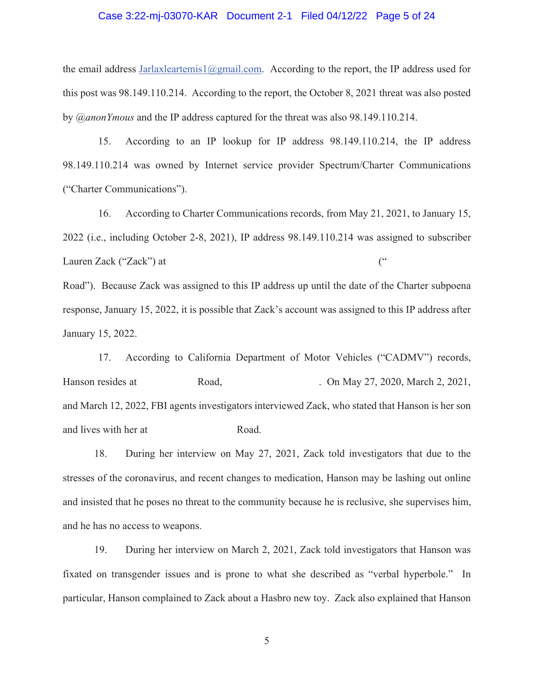#### Case 3:22-mj-03070-KAR Document 2-1 Filed 04/12/22 Page 5 of 24

the email address Jarlaxleartemis1@gmail.com. According to the report, the IP address used for this post was 98.149.110.214. According to the report, the October 8, 2021 threat was also posted by *@anonYmous* and the IP address captured for the threat was also 98.149.110.214.

15. According to an IP lookup for IP address 98.149.110.214, the IP address 98.149.110.214 was owned by Internet service provider Spectrum/Charter Communications ("Charter Communications").

16. According to Charter Communications records, from May 21, 2021, to January 15, 2022 (i.e., including October 2-8, 2021), IP address 98.149.110.214 was assigned to subscriber Lauren Zack ("Zack") at ("

Road"). Because Zack was assigned to this IP address up until the date of the Charter subpoena response, January 15, 2022, it is possible that Zack's account was assigned to this IP address after January 15, 2022.

17. According to California Department of Motor Vehicles ("CADMV") records, Hanson resides at Road, Road, Dn May 27, 2020, March 2, 2021, and March 12, 2022, FBI agents investigators interviewed Zack, who stated that Hanson is her son and lives with her at Road.

18. During her interview on May 27, 2021, Zack told investigators that due to the stresses of the coronavirus, and recent changes to medication, Hanson may be lashing out online and insisted that he poses no threat to the community because he is reclusive, she supervises him, and he has no access to weapons.

19. During her interview on March 2, 2021, Zack told investigators that Hanson was fixated on transgender issues and is prone to what she described as "verbal hyperbole." In particular, Hanson complained to Zack about a Hasbro new toy. Zack also explained that Hanson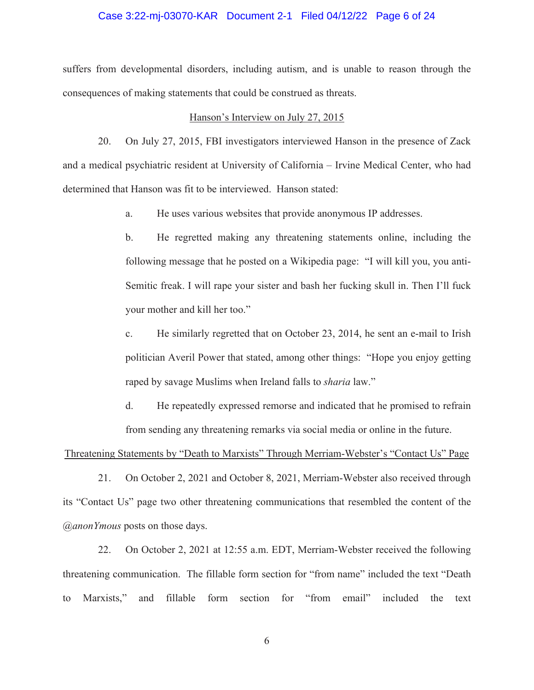# Case 3:22-mj-03070-KAR Document 2-1 Filed 04/12/22 Page 6 of 24

suffers from developmental disorders, including autism, and is unable to reason through the consequences of making statements that could be construed as threats.

#### Hanson's Interview on July 27, 2015

20. On July 27, 2015, FBI investigators interviewed Hanson in the presence of Zack and a medical psychiatric resident at University of California – Irvine Medical Center, who had determined that Hanson was fit to be interviewed. Hanson stated:

a. He uses various websites that provide anonymous IP addresses.

b. He regretted making any threatening statements online, including the following message that he posted on a Wikipedia page: "I will kill you, you anti-Semitic freak. I will rape your sister and bash her fucking skull in. Then I'll fuck your mother and kill her too."

c. He similarly regretted that on October 23, 2014, he sent an e-mail to Irish politician Averil Power that stated, among other things: "Hope you enjoy getting raped by savage Muslims when Ireland falls to *sharia* law."

d. He repeatedly expressed remorse and indicated that he promised to refrain from sending any threatening remarks via social media or online in the future.

# Threatening Statements by "Death to Marxists" Through Merriam-Webster's "Contact Us" Page

21. On October 2, 2021 and October 8, 2021, Merriam-Webster also received through its "Contact Us" page two other threatening communications that resembled the content of the *@anonYmous* posts on those days.

22. On October 2, 2021 at 12:55 a.m. EDT, Merriam-Webster received the following threatening communication. The fillable form section for "from name" included the text "Death to Marxists," and fillable form section for "from email" included the text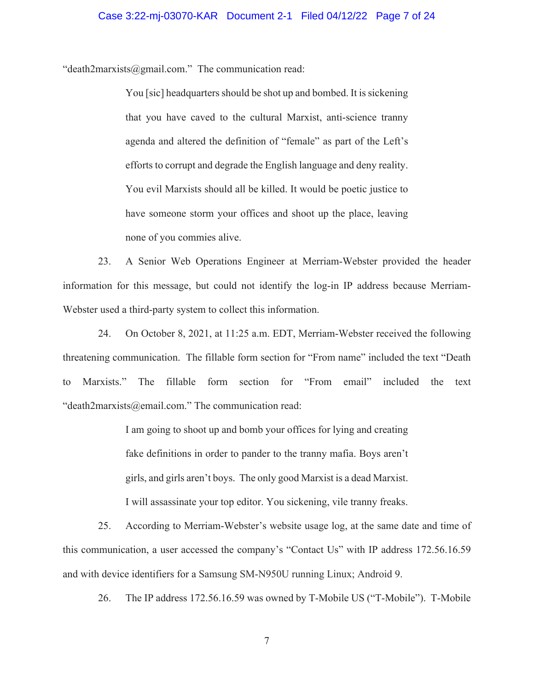"death2marxists@gmail.com." The communication read:

You [sic] headquarters should be shot up and bombed. It is sickening that you have caved to the cultural Marxist, anti-science tranny agenda and altered the definition of "female" as part of the Left's efforts to corrupt and degrade the English language and deny reality. You evil Marxists should all be killed. It would be poetic justice to have someone storm your offices and shoot up the place, leaving none of you commies alive.

23. A Senior Web Operations Engineer at Merriam-Webster provided the header information for this message, but could not identify the log-in IP address because Merriam-Webster used a third-party system to collect this information.

24. On October 8, 2021, at 11:25 a.m. EDT, Merriam-Webster received the following threatening communication. The fillable form section for "From name" included the text "Death to Marxists." The fillable form section for "From email" included the text "death2marxists@email.com." The communication read:

> I am going to shoot up and bomb your offices for lying and creating fake definitions in order to pander to the tranny mafia. Boys aren't girls, and girls aren't boys. The only good Marxist is a dead Marxist. I will assassinate your top editor. You sickening, vile tranny freaks.

25. According to Merriam-Webster's website usage log, at the same date and time of this communication, a user accessed the company's "Contact Us" with IP address 172.56.16.59 and with device identifiers for a Samsung SM-N950U running Linux; Android 9.

26. The IP address 172.56.16.59 was owned by T-Mobile US ("T-Mobile"). T-Mobile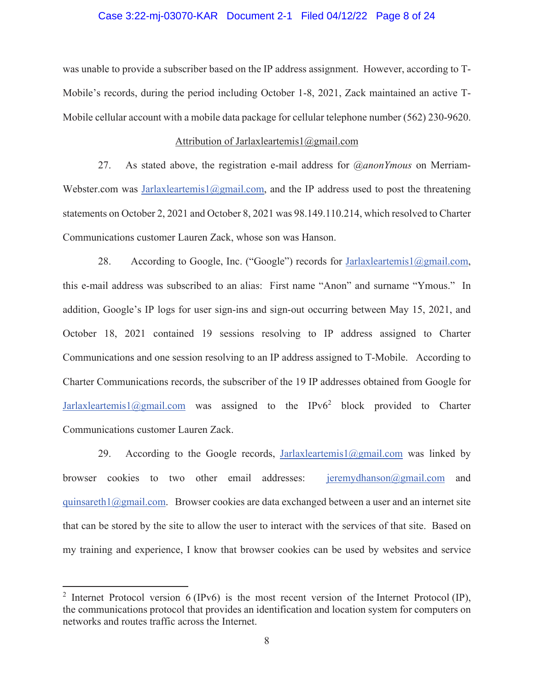# Case 3:22-mj-03070-KAR Document 2-1 Filed 04/12/22 Page 8 of 24

was unable to provide a subscriber based on the IP address assignment. However, according to T-Mobile's records, during the period including October 1-8, 2021, Zack maintained an active T-Mobile cellular account with a mobile data package for cellular telephone number (562) 230-9620.

# Attribution of Jarlaxleartemis1@gmail.com

27. As stated above, the registration e-mail address for *@anonYmous* on Merriam-Webster.com was Jarlaxleartemis1@gmail.com, and the IP address used to post the threatening statements on October 2, 2021 and October 8, 2021 was 98.149.110.214, which resolved to Charter Communications customer Lauren Zack, whose son was Hanson.

28. According to Google, Inc. ("Google") records for Jarlaxleartemis1@gmail.com, this e-mail address was subscribed to an alias: First name "Anon" and surname "Ymous." In addition, Google's IP logs for user sign-ins and sign-out occurring between May 15, 2021, and October 18, 2021 contained 19 sessions resolving to IP address assigned to Charter Communications and one session resolving to an IP address assigned to T-Mobile. According to Charter Communications records, the subscriber of the 19 IP addresses obtained from Google for Jarlaxleartemis1@gmail.com was assigned to the IPv6<sup>2</sup> block provided to Charter Communications customer Lauren Zack.

29. According to the Google records, Jarlaxleartemis1@gmail.com was linked by browser cookies to two other email addresses: jeremydhanson@gmail.com and quinsareth $1$ @gmail.com. Browser cookies are data exchanged between a user and an internet site that can be stored by the site to allow the user to interact with the services of that site. Based on my training and experience, I know that browser cookies can be used by websites and service

<sup>&</sup>lt;sup>2</sup> Internet Protocol version 6 (IPv6) is the most recent version of the Internet Protocol (IP), the communications protocol that provides an identification and location system for computers on networks and routes traffic across the Internet.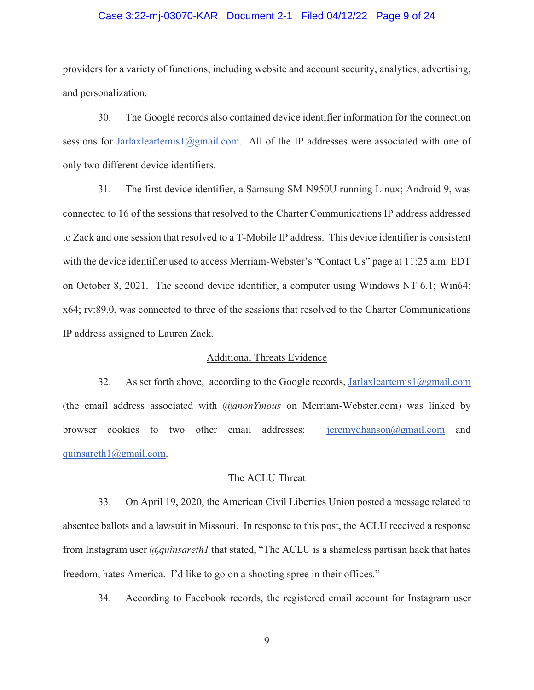# Case 3:22-mj-03070-KAR Document 2-1 Filed 04/12/22 Page 9 of 24

providers for a variety of functions, including website and account security, analytics, advertising, and personalization.

30. The Google records also contained device identifier information for the connection sessions for Jarlaxleartemis1@gmail.com. All of the IP addresses were associated with one of only two different device identifiers.

31. The first device identifier, a Samsung SM-N950U running Linux; Android 9, was connected to 16 of the sessions that resolved to the Charter Communications IP address addressed to Zack and one session that resolved to a T-Mobile IP address. This device identifier is consistent with the device identifier used to access Merriam-Webster's "Contact Us" page at 11:25 a.m. EDT on October 8, 2021. The second device identifier, a computer using Windows NT 6.1; Win64; x64; rv:89.0, was connected to three of the sessions that resolved to the Charter Communications IP address assigned to Lauren Zack.

#### Additional Threats Evidence

32. As set forth above, according to the Google records, Jarlaxleartemis1@gmail.com (the email address associated with *@anonYmous* on Merriam-Webster.com) was linked by browser cookies to two other email addresses: <u>jeremydhanson@gmail.com</u> and quinsareth1@gmail.com.

#### The ACLU Threat

33. On April 19, 2020, the American Civil Liberties Union posted a message related to absentee ballots and a lawsuit in Missouri. In response to this post, the ACLU received a response from Instagram user *@quinsareth1* that stated, "The ACLU is a shameless partisan hack that hates freedom, hates America. I'd like to go on a shooting spree in their offices."

34. According to Facebook records, the registered email account for Instagram user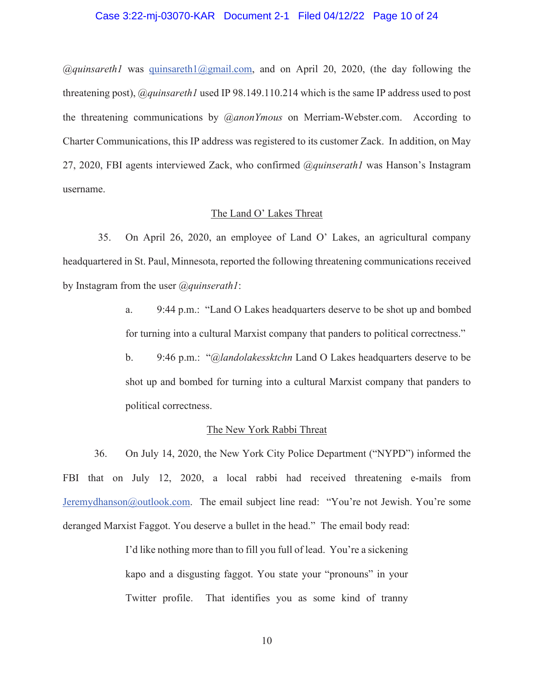#### Case 3:22-mj-03070-KAR Document 2-1 Filed 04/12/22 Page 10 of 24

*@quinsareth1* was quinsareth1@gmail.com, and on April 20, 2020, (the day following the threatening post), *@quinsareth1* used IP 98.149.110.214 which is the same IP address used to post the threatening communications by *@anonYmous* on Merriam-Webster.com. According to Charter Communications, this IP address was registered to its customer Zack. In addition, on May 27, 2020, FBI agents interviewed Zack, who confirmed *@quinserath1* was Hanson's Instagram username.

#### The Land O' Lakes Threat

35. On April 26, 2020, an employee of Land O' Lakes, an agricultural company headquartered in St. Paul, Minnesota, reported the following threatening communications received by Instagram from the user *@quinserath1*:

> a. 9:44 p.m.: "Land O Lakes headquarters deserve to be shot up and bombed for turning into a cultural Marxist company that panders to political correctness."

> b. 9:46 p.m.: "*@landolakessktchn* Land O Lakes headquarters deserve to be shot up and bombed for turning into a cultural Marxist company that panders to political correctness.

#### The New York Rabbi Threat

36. On July 14, 2020, the New York City Police Department ("NYPD") informed the FBI that on July 12, 2020, a local rabbi had received threatening e-mails from Jeremydhanson@outlook.com. The email subject line read: "You're not Jewish. You're some deranged Marxist Faggot. You deserve a bullet in the head." The email body read:

> I'd like nothing more than to fill you full of lead. You're a sickening kapo and a disgusting faggot. You state your "pronouns" in your Twitter profile. That identifies you as some kind of tranny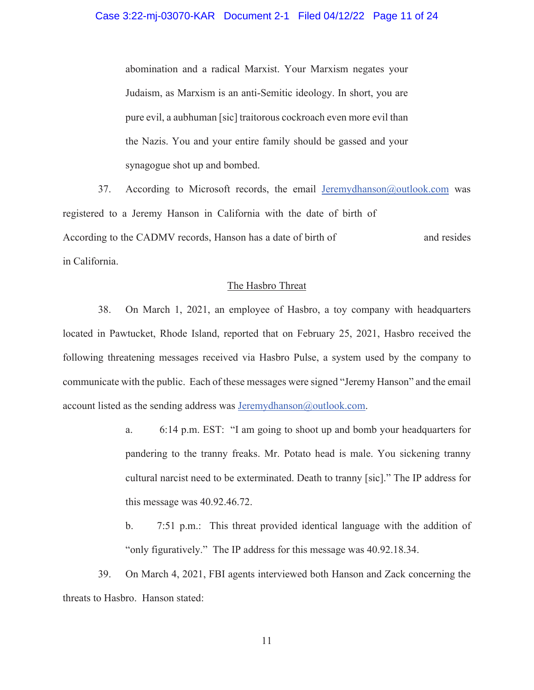abomination and a radical Marxist. Your Marxism negates your Judaism, as Marxism is an anti-Semitic ideology. In short, you are pure evil, a aubhuman [sic] traitorous cockroach even more evil than the Nazis. You and your entire family should be gassed and your synagogue shot up and bombed.

37. According to Microsoft records, the email Jeremydhanson@outlook.com was registered to a Jeremy Hanson in California with the date of birth of According to the CADMV records, Hanson has a date of birth of in California. and resides

#### The Hasbro Threat

38. On March 1, 2021, an employee of Hasbro, a toy company with headquarters located in Pawtucket, Rhode Island, reported that on February 25, 2021, Hasbro received the following threatening messages received via Hasbro Pulse, a system used by the company to communicate with the public. Each of these messages were signed "Jeremy Hanson" and the email account listed as the sending address was  $Jeremydhanson@outlook.com$ .

- a. 6:14 p.m. EST: "I am going to shoot up and bomb your headquarters for pandering to the tranny freaks. Mr. Potato head is male. You sickening tranny cultural narcist need to be exterminated. Death to tranny [sic]." The IP address for this message was 40.92.46.72.
- b. 7:51 p.m.: This threat provided identical language with the addition of "only figuratively." The IP address for this message was 40.92.18.34.

39. On March 4, 2021, FBI agents interviewed both Hanson and Zack concerning the threats to Hasbro. Hanson stated: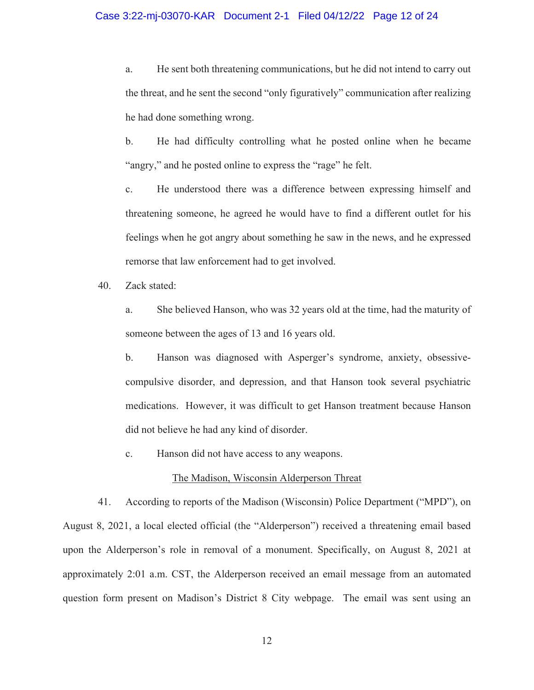# Case 3:22-mj-03070-KAR Document 2-1 Filed 04/12/22 Page 12 of 24

a. He sent both threatening communications, but he did not intend to carry out the threat, and he sent the second "only figuratively" communication after realizing he had done something wrong.

b. He had difficulty controlling what he posted online when he became "angry," and he posted online to express the "rage" he felt.

c. He understood there was a difference between expressing himself and threatening someone, he agreed he would have to find a different outlet for his feelings when he got angry about something he saw in the news, and he expressed remorse that law enforcement had to get involved.

40. Zack stated:

a. She believed Hanson, who was 32 years old at the time, had the maturity of someone between the ages of 13 and 16 years old.

b. Hanson was diagnosed with Asperger's syndrome, anxiety, obsessivecompulsive disorder, and depression, and that Hanson took several psychiatric medications. However, it was difficult to get Hanson treatment because Hanson did not believe he had any kind of disorder.

c. Hanson did not have access to any weapons.

#### The Madison, Wisconsin Alderperson Threat

41. According to reports of the Madison (Wisconsin) Police Department ("MPD"), on August 8, 2021, a local elected official (the "Alderperson") received a threatening email based upon the Alderperson's role in removal of a monument. Specifically, on August 8, 2021 at approximately 2:01 a.m. CST, the Alderperson received an email message from an automated question form present on Madison's District 8 City webpage. The email was sent using an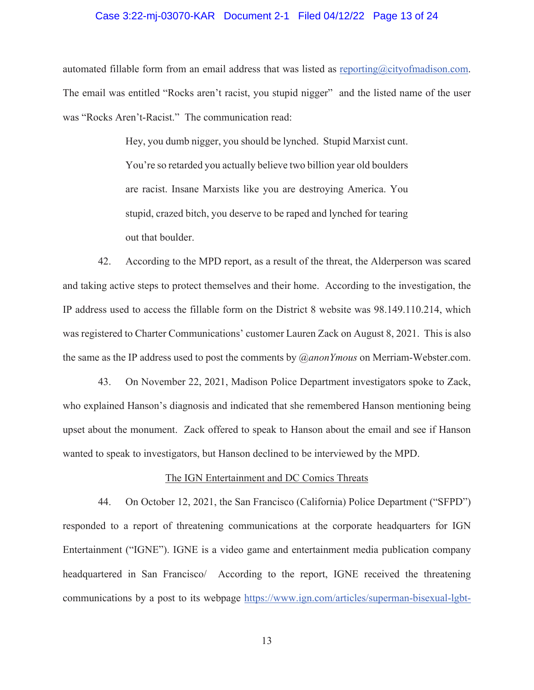## Case 3:22-mj-03070-KAR Document 2-1 Filed 04/12/22 Page 13 of 24

automated fillable form from an email address that was listed as reporting $@city$  of madison.com. The email was entitled "Rocks aren't racist, you stupid nigger" and the listed name of the user was "Rocks Aren't-Racist." The communication read:

> Hey, you dumb nigger, you should be lynched. Stupid Marxist cunt. You're so retarded you actually believe two billion year old boulders are racist. Insane Marxists like you are destroying America. You stupid, crazed bitch, you deserve to be raped and lynched for tearing out that boulder.

42. According to the MPD report, as a result of the threat, the Alderperson was scared and taking active steps to protect themselves and their home. According to the investigation, the IP address used to access the fillable form on the District 8 website was 98.149.110.214, which was registered to Charter Communications' customer Lauren Zack on August 8, 2021. This is also the same as the IP address used to post the comments by *@anonYmous* on Merriam-Webster.com.

43. On November 22, 2021, Madison Police Department investigators spoke to Zack, who explained Hanson's diagnosis and indicated that she remembered Hanson mentioning being upset about the monument. Zack offered to speak to Hanson about the email and see if Hanson wanted to speak to investigators, but Hanson declined to be interviewed by the MPD.

#### The IGN Entertainment and DC Comics Threats

44. On October 12, 2021, the San Francisco (California) Police Department ("SFPD") responded to a report of threatening communications at the corporate headquarters for IGN Entertainment ("IGNE"). IGNE is a video game and entertainment media publication company headquartered in San Francisco/ According to the report, IGNE received the threatening communications by a post to its webpage https://www.ign.com/articles/superman-bisexual-lgbt-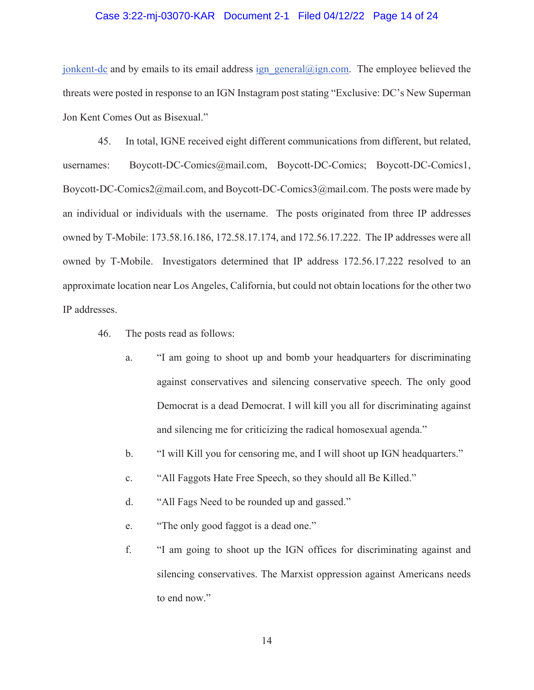# Case 3:22-mj-03070-KAR Document 2-1 Filed 04/12/22 Page 14 of 24

jonkent-dc and by emails to its email address ign general@ign.com. The employee believed the threats were posted in response to an IGN Instagram post stating "Exclusive: DC's New Superman Jon Kent Comes Out as Bisexual."

45. In total, IGNE received eight different communications from different, but related, usernames: Boycott-DC-Comics@mail.com, Boycott-DC-Comics; Boycott-DC-Comics1, Boycott-DC-Comics2@mail.com, and Boycott-DC-Comics3@mail.com. The posts were made by an individual or individuals with the username. The posts originated from three IP addresses owned by T-Mobile: 173.58.16.186, 172.58.17.174, and 172.56.17.222. The IP addresses were all owned by T-Mobile. Investigators determined that IP address 172.56.17.222 resolved to an approximate location near Los Angeles, California, but could not obtain locations for the other two IP addresses.

- 46. The posts read as follows:
	- a. "I am going to shoot up and bomb your headquarters for discriminating against conservatives and silencing conservative speech. The only good Democrat is a dead Democrat. I will kill you all for discriminating against and silencing me for criticizing the radical homosexual agenda."
	- b. "I will Kill you for censoring me, and I will shoot up IGN headquarters."
	- c. "All Faggots Hate Free Speech, so they should all Be Killed."
	- d. "All Fags Need to be rounded up and gassed."
	- e. "The only good faggot is a dead one."
	- f. "I am going to shoot up the IGN offices for discriminating against and silencing conservatives. The Marxist oppression against Americans needs to end now."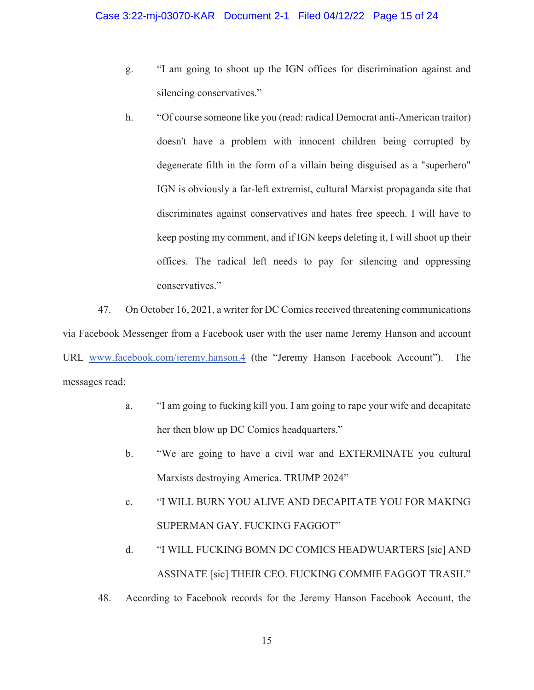- g. "I am going to shoot up the IGN offices for discrimination against and silencing conservatives."
- h. "Of course someone like you (read: radical Democrat anti-American traitor) doesn't have a problem with innocent children being corrupted by degenerate filth in the form of a villain being disguised as a "superhero" IGN is obviously a far-left extremist, cultural Marxist propaganda site that discriminates against conservatives and hates free speech. I will have to keep posting my comment, and if IGN keeps deleting it, I will shoot up their offices. The radical left needs to pay for silencing and oppressing conservatives."

47. On October 16, 2021, a writer for DC Comics received threatening communications via Facebook Messenger from a Facebook user with the user name Jeremy Hanson and account URL www.facebook.com/jeremy.hanson.4 (the "Jeremy Hanson Facebook Account"). The messages read:

- a. "I am going to fucking kill you. I am going to rape your wife and decapitate her then blow up DC Comics headquarters."
- b. "We are going to have a civil war and EXTERMINATE you cultural Marxists destroying America. TRUMP 2024"
- c. "I WILL BURN YOU ALIVE AND DECAPITATE YOU FOR MAKING SUPERMAN GAY. FUCKING FAGGOT"
- d. "I WILL FUCKING BOMN DC COMICS HEADWUARTERS [sic] AND ASSINATE [sic] THEIR CEO. FUCKING COMMIE FAGGOT TRASH."
- 48. According to Facebook records for the Jeremy Hanson Facebook Account, the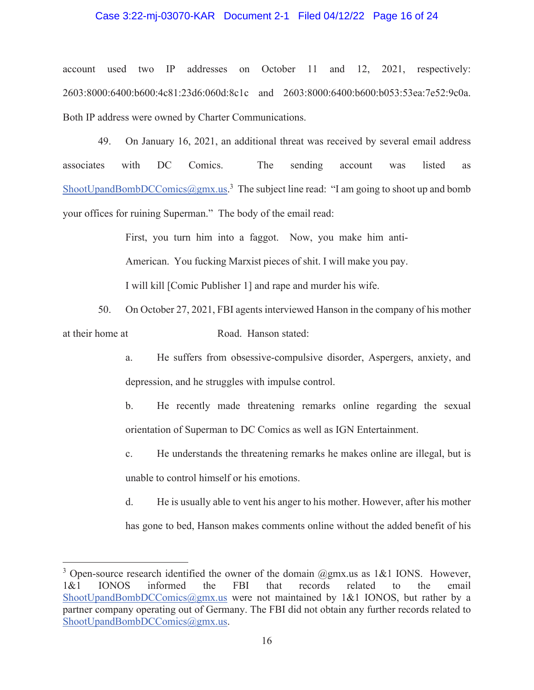# Case 3:22-mj-03070-KAR Document 2-1 Filed 04/12/22 Page 16 of 24

account used two IP addresses on October 11 and 12, 2021, respectively: 2603:8000:6400:b600:4c81:23d6:060d:8c1c and 2603:8000:6400:b600:b053:53ea:7e52:9c0a. Both IP address were owned by Charter Communications.

49. On January 16, 2021, an additional threat was received by several email address associates with DC Comics. The sending account was listed as ShootUpandBombDCComics@gmx.us.<sup>3</sup> The subject line read: "I am going to shoot up and bomb your offices for ruining Superman." The body of the email read:

> First, you turn him into a faggot. Now, you make him anti-American. You fucking Marxist pieces of shit. I will make you pay. I will kill [Comic Publisher 1] and rape and murder his wife.

50. On October 27, 2021, FBI agents interviewed Hanson in the company of his mother Road. Hanson stated: at their home at

> a. He suffers from obsessive-compulsive disorder, Aspergers, anxiety, and depression, and he struggles with impulse control.

> b. He recently made threatening remarks online regarding the sexual orientation of Superman to DC Comics as well as IGN Entertainment.

> c. He understands the threatening remarks he makes online are illegal, but is unable to control himself or his emotions.

> d. He is usually able to vent his anger to his mother. However, after his mother has gone to bed, Hanson makes comments online without the added benefit of his

<sup>&</sup>lt;sup>3</sup> Open-source research identified the owner of the domain  $@gmx.us$  as 1&1 IONS. However, 1&1 IONOS informed the FBI that records related to the email ShootUpandBombDCComics@gmx.us were not maintained by 1&1 IONOS, but rather by a partner company operating out of Germany. The FBI did not obtain any further records related to ShootUpandBombDCComics@gmx.us.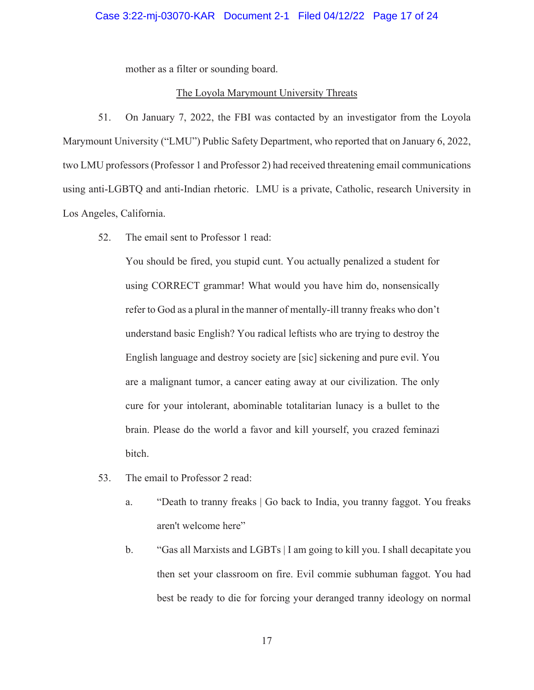# Case 3:22-mj-03070-KAR Document 2-1 Filed 04/12/22 Page 17 of 24

mother as a filter or sounding board.

# The Loyola Marymount University Threats

51. On January 7, 2022, the FBI was contacted by an investigator from the Loyola Marymount University ("LMU") Public Safety Department, who reported that on January 6, 2022, two LMU professors (Professor 1 and Professor 2) had received threatening email communications using anti-LGBTQ and anti-Indian rhetoric. LMU is a private, Catholic, research University in Los Angeles, California.

52. The email sent to Professor 1 read:

You should be fired, you stupid cunt. You actually penalized a student for using CORRECT grammar! What would you have him do, nonsensically refer to God as a plural in the manner of mentally-ill tranny freaks who don't understand basic English? You radical leftists who are trying to destroy the English language and destroy society are [sic] sickening and pure evil. You are a malignant tumor, a cancer eating away at our civilization. The only cure for your intolerant, abominable totalitarian lunacy is a bullet to the brain. Please do the world a favor and kill yourself, you crazed feminazi bitch.

- 53. The email to Professor 2 read:
	- a. "Death to tranny freaks | Go back to India, you tranny faggot. You freaks aren't welcome here"
	- b. "Gas all Marxists and LGBTs | I am going to kill you. I shall decapitate you then set your classroom on fire. Evil commie subhuman faggot. You had best be ready to die for forcing your deranged tranny ideology on normal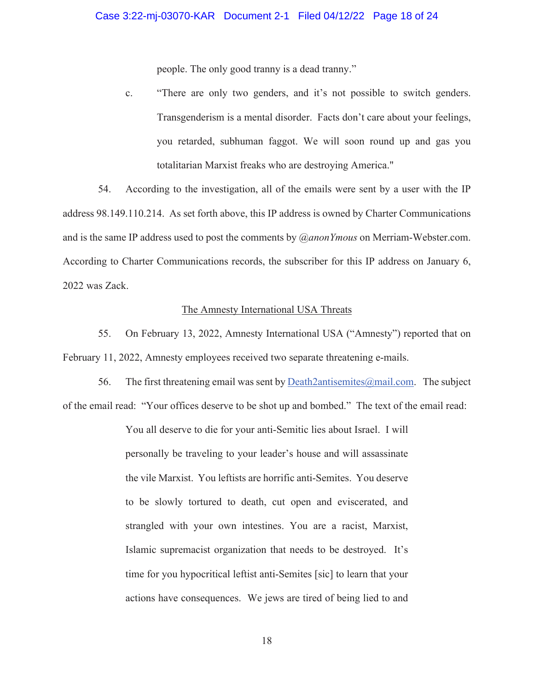people. The only good tranny is a dead tranny."

c. "There are only two genders, and it's not possible to switch genders. Transgenderism is a mental disorder. Facts don't care about your feelings, you retarded, subhuman faggot. We will soon round up and gas you totalitarian Marxist freaks who are destroying America."

54. According to the investigation, all of the emails were sent by a user with the IP address 98.149.110.214. As set forth above, this IP address is owned by Charter Communications and is the same IP address used to post the comments by *@anonYmous* on Merriam-Webster.com. According to Charter Communications records, the subscriber for this IP address on January 6, 2022 was Zack.

# The Amnesty International USA Threats

55. On February 13, 2022, Amnesty International USA ("Amnesty") reported that on February 11, 2022, Amnesty employees received two separate threatening e-mails.

56. The first threatening email was sent by Death2antisemites@mail.com. The subject of the email read: "Your offices deserve to be shot up and bombed." The text of the email read:

> You all deserve to die for your anti-Semitic lies about Israel. I will personally be traveling to your leader's house and will assassinate the vile Marxist. You leftists are horrific anti-Semites. You deserve to be slowly tortured to death, cut open and eviscerated, and strangled with your own intestines. You are a racist, Marxist, Islamic supremacist organization that needs to be destroyed. It's time for you hypocritical leftist anti-Semites [sic] to learn that your actions have consequences. We jews are tired of being lied to and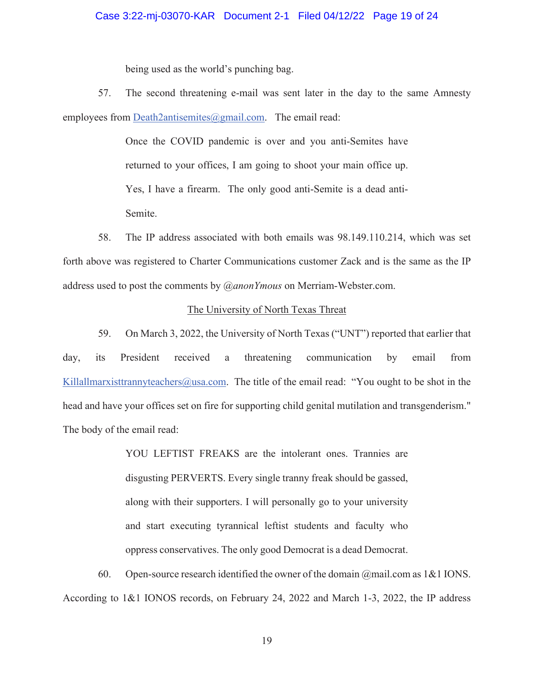# Case 3:22-mj-03070-KAR Document 2-1 Filed 04/12/22 Page 19 of 24

being used as the world's punching bag.

57. The second threatening e-mail was sent later in the day to the same Amnesty employees from Death2antisemites@gmail.com. The email read:

> Once the COVID pandemic is over and you anti-Semites have returned to your offices, I am going to shoot your main office up. Yes, I have a firearm. The only good anti-Semite is a dead anti-Semite.

58. The IP address associated with both emails was 98.149.110.214, which was set forth above was registered to Charter Communications customer Zack and is the same as the IP address used to post the comments by *@anonYmous* on Merriam-Webster.com.

# The University of North Texas Threat

59. On March 3, 2022, the University of North Texas ("UNT") reported that earlier that day, its President received a threatening communication by email from Killallmarxisttrannyteachers@usa.com. The title of the email read: "You ought to be shot in the head and have your offices set on fire for supporting child genital mutilation and transgenderism." The body of the email read:

> YOU LEFTIST FREAKS are the intolerant ones. Trannies are disgusting PERVERTS. Every single tranny freak should be gassed, along with their supporters. I will personally go to your university and start executing tyrannical leftist students and faculty who oppress conservatives. The only good Democrat is a dead Democrat.

60. Open-source research identified the owner of the domain  $\omega$  mail.com as 1&1 IONS. According to 1&1 IONOS records, on February 24, 2022 and March 1-3, 2022, the IP address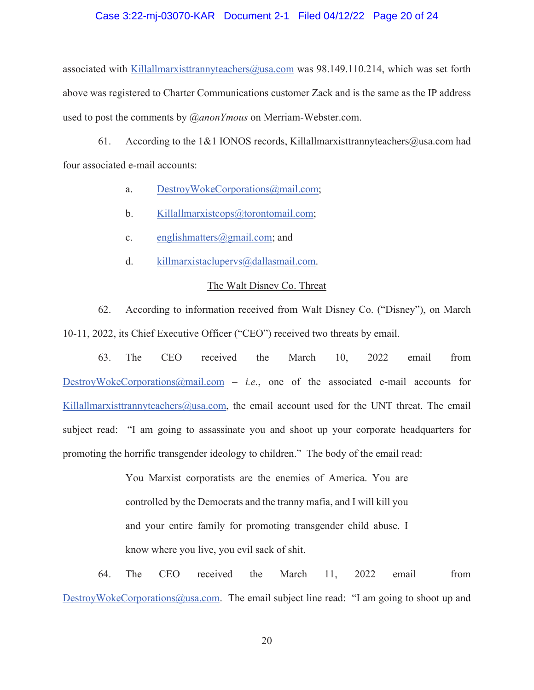#### Case 3:22-mj-03070-KAR Document 2-1 Filed 04/12/22 Page 20 of 24

associated with Killallmarxisttrannyteachers@usa.com was 98.149.110.214, which was set forth above was registered to Charter Communications customer Zack and is the same as the IP address used to post the comments by *@anonYmous* on Merriam-Webster.com.

61. According to the 1&1 IONOS records, Killallmarxisttrannyteachers@usa.com had four associated e-mail accounts:

- a. DestroyWokeCorporations@mail.com;
- b. Killallmarxistcops@torontomail.com;
- c. englishmatters $\omega$ gmail.com; and
- d. killmarxistaclupervs@dallasmail.com.

#### The Walt Disney Co. Threat

62. According to information received from Walt Disney Co. ("Disney"), on March 10-11, 2022, its Chief Executive Officer ("CEO") received two threats by email.

63. The CEO received the March 10, 2022 email from DestroyWokeCorporations@mail.com – *i.e.*, one of the associated e-mail accounts for Killallmarxisttrannyteachers@usa.com, the email account used for the UNT threat. The email subject read: "I am going to assassinate you and shoot up your corporate headquarters for promoting the horrific transgender ideology to children." The body of the email read:

> You Marxist corporatists are the enemies of America. You are controlled by the Democrats and the tranny mafia, and I will kill you and your entire family for promoting transgender child abuse. I know where you live, you evil sack of shit.

64. The CEO received the March 11, 2022 email from DestroyWokeCorporations@usa.com. The email subject line read: "I am going to shoot up and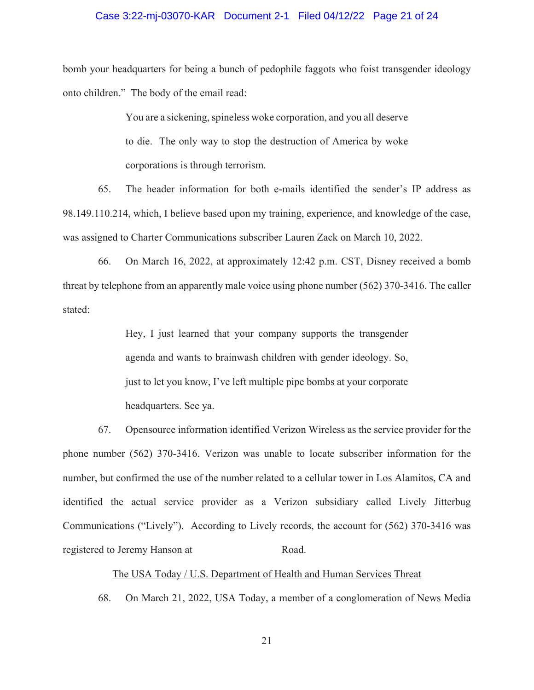# Case 3:22-mj-03070-KAR Document 2-1 Filed 04/12/22 Page 21 of 24

bomb your headquarters for being a bunch of pedophile faggots who foist transgender ideology onto children." The body of the email read:

> You are a sickening, spineless woke corporation, and you all deserve to die. The only way to stop the destruction of America by woke corporations is through terrorism.

65. The header information for both e-mails identified the sender's IP address as 98.149.110.214, which, I believe based upon my training, experience, and knowledge of the case, was assigned to Charter Communications subscriber Lauren Zack on March 10, 2022.

66. On March 16, 2022, at approximately 12:42 p.m. CST, Disney received a bomb threat by telephone from an apparently male voice using phone number (562) 370-3416. The caller stated:

> Hey, I just learned that your company supports the transgender agenda and wants to brainwash children with gender ideology. So, just to let you know, I've left multiple pipe bombs at your corporate headquarters. See ya.

67. Opensource information identified Verizon Wireless as the service provider for the phone number (562) 370-3416. Verizon was unable to locate subscriber information for the number, but confirmed the use of the number related to a cellular tower in Los Alamitos, CA and identified the actual service provider as a Verizon subsidiary called Lively Jitterbug Communications ("Lively"). According to Lively records, the account for (562) 370-3416 was registered to Jeremy Hanson at Road.

# The USA Today / U.S. Department of Health and Human Services Threat

68. On March 21, 2022, USA Today, a member of a conglomeration of News Media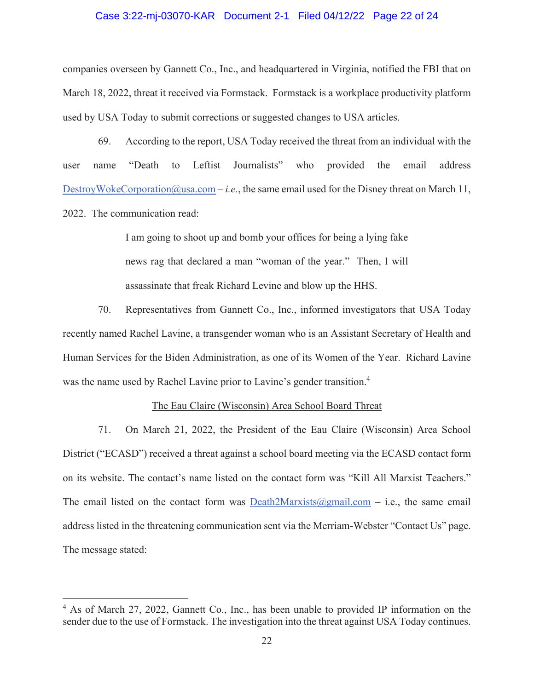# Case 3:22-mj-03070-KAR Document 2-1 Filed 04/12/22 Page 22 of 24

companies overseen by Gannett Co., Inc., and headquartered in Virginia, notified the FBI that on March 18, 2022, threat it received via Formstack. Formstack is a workplace productivity platform used by USA Today to submit corrections or suggested changes to USA articles.

69. According to the report, USA Today received the threat from an individual with the user name "Death to Leftist Journalists" who provided the email address DestroyWokeCorporation@usa.com – *i.e.*, the same email used for the Disney threat on March 11, 2022. The communication read:

> I am going to shoot up and bomb your offices for being a lying fake news rag that declared a man "woman of the year." Then, I will assassinate that freak Richard Levine and blow up the HHS.

70. Representatives from Gannett Co., Inc., informed investigators that USA Today recently named Rachel Lavine, a transgender woman who is an Assistant Secretary of Health and Human Services for the Biden Administration, as one of its Women of the Year. Richard Lavine was the name used by Rachel Lavine prior to Lavine's gender transition.<sup>4</sup>

# The Eau Claire (Wisconsin) Area School Board Threat

71. On March 21, 2022, the President of the Eau Claire (Wisconsin) Area School District ("ECASD") received a threat against a school board meeting via the ECASD contact form on its website. The contact's name listed on the contact form was "Kill All Marxist Teachers." The email listed on the contact form was Death2Marxists@gmail.com – i.e., the same email address listed in the threatening communication sent via the Merriam-Webster "Contact Us" page. The message stated:

<sup>&</sup>lt;sup>4</sup> As of March 27, 2022, Gannett Co., Inc., has been unable to provided IP information on the sender due to the use of Formstack. The investigation into the threat against USA Today continues.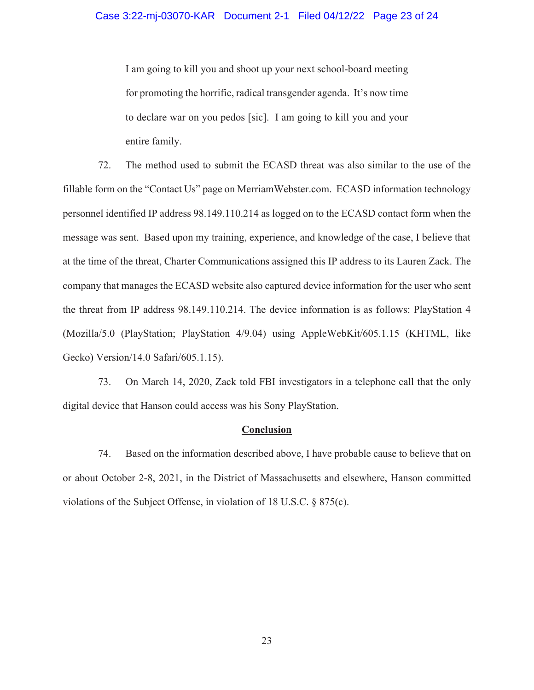I am going to kill you and shoot up your next school-board meeting for promoting the horrific, radical transgender agenda. It's now time to declare war on you pedos [sic]. I am going to kill you and your entire family.

72. The method used to submit the ECASD threat was also similar to the use of the fillable form on the "Contact Us" page on MerriamWebster.com. ECASD information technology personnel identified IP address 98.149.110.214 as logged on to the ECASD contact form when the message was sent. Based upon my training, experience, and knowledge of the case, I believe that at the time of the threat, Charter Communications assigned this IP address to its Lauren Zack. The company that manages the ECASD website also captured device information for the user who sent the threat from IP address 98.149.110.214. The device information is as follows: PlayStation 4 (Mozilla/5.0 (PlayStation; PlayStation 4/9.04) using AppleWebKit/605.1.15 (KHTML, like Gecko) Version/14.0 Safari/605.1.15).

73. On March 14, 2020, Zack told FBI investigators in a telephone call that the only digital device that Hanson could access was his Sony PlayStation.

# **Conclusion**

74. Based on the information described above, I have probable cause to believe that on or about October 2-8, 2021, in the District of Massachusetts and elsewhere, Hanson committed violations of the Subject Offense, in violation of 18 U.S.C. § 875(c).